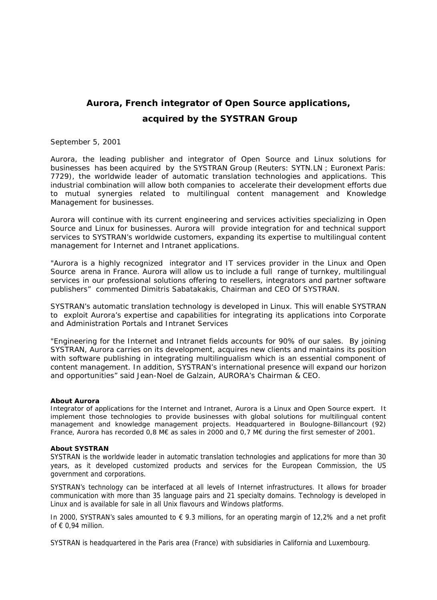## **Aurora, French integrator of Open Source applications, acquired by the SYSTRAN Group**

## September 5, 2001

Aurora, the leading publisher and integrator of Open Source and Linux solutions for businesses has been acquired by the SYSTRAN Group (Reuters: SYTN.LN ; Euronext Paris: 7729), the worldwide leader of automatic translation technologies and applications. This industrial combination will allow both companies to accelerate their development efforts due to mutual synergies related to multilingual content management and Knowledge Management for businesses.

Aurora will continue with its current engineering and services activities specializing in Open Source and Linux for businesses. Aurora will provide integration for and technical support services to SYSTRAN's worldwide customers, expanding its expertise to multilingual content management for Internet and Intranet applications.

"*Aurora is a highly recognized integrator and IT services provider in the Linux and Open Source arena in France. Aurora will allow us to include a full range of turnkey, multilingual services in our professional solutions offering to resellers, integrators and partner software publishers" commented* Dimitris Sabatakakis, Chairman and CEO Of SYSTRAN.

SYSTRAN's automatic translation technology is developed in Linux. This will enable SYSTRAN to exploit Aurora's expertise and capabilities for integrating its applications into Corporate and Administration Portals and Intranet Services

*"Engineering for the Internet and Intranet fields accounts for 90% of our sales. By joining SYSTRAN, Aurora carries on its development, acquires new clients and maintains its position*  with software publishing in integrating multilingualism which is an essential component of *content management. In addition, SYSTRAN's international presence will expand our horizon and opportunities"* said Jean-Noel de Galzain, AURORA's Chairman & CEO.

## *About Aurora*

*Integrator of applications for the Internet and Intranet, Aurora is a Linux and Open Source expert. It implement those technologies to provide businesses with global solutions for multilingual content management and knowledge management projects. Headquartered in Boulogne-Billancourt (92) France, Aurora has recorded 0,8 M€ as sales in 2000 and 0,7 M€ during the first semester of 2001.* 

## *About SYSTRAN*

*SYSTRAN is the worldwide leader in automatic translation technologies and applications for more than 30 years, as it developed customized products and services for the European Commission, the US government and corporations.*

*SYSTRAN's technology can be interfaced at all levels of Internet infrastructures. It allows for broader communication with more than 35 language pairs and 21 specialty domains. Technology is developed in Linux and is available for sale in all Unix flavours and Windows platforms.*

*In 2000, SYSTRAN's sales amounted to € 9.3 millions, for an operating margin of 12,2% and a net profit of € 0,94 million.* 

*SYSTRAN is headquartered in the Paris area (France) with subsidiaries in California and Luxembourg.*